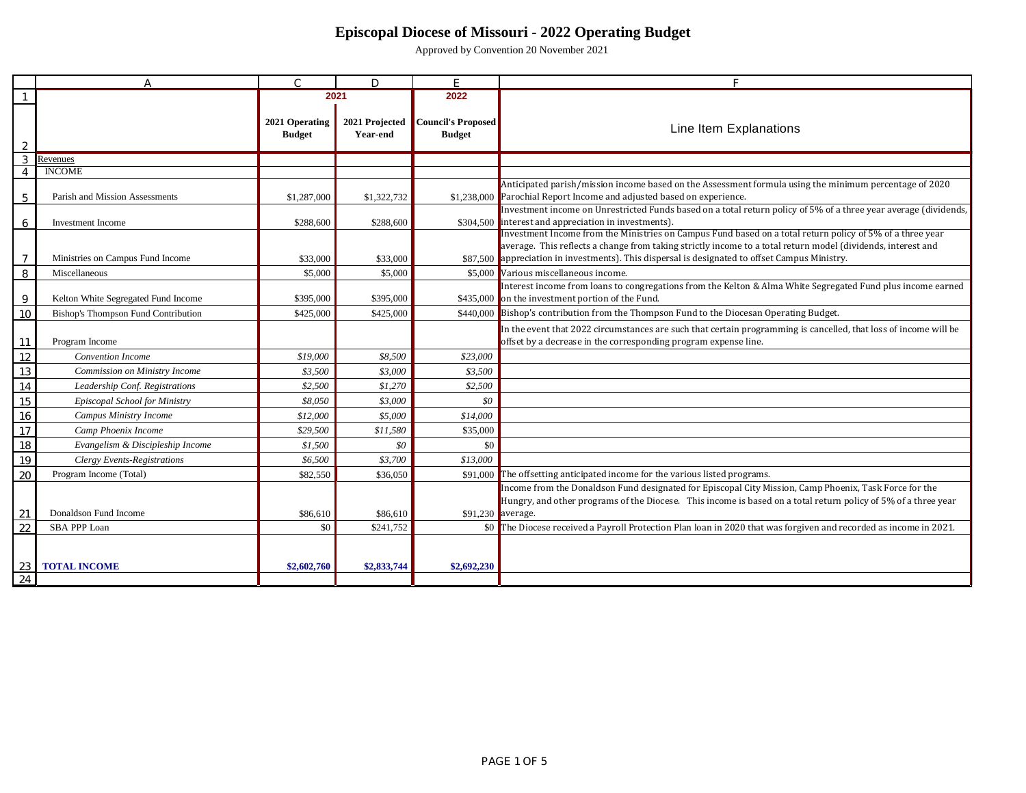|                | A                                   | $\overline{C}$                  | $\Box$                     | E                                   | Е                                                                                                                                                                                                                                                                                                                           |
|----------------|-------------------------------------|---------------------------------|----------------------------|-------------------------------------|-----------------------------------------------------------------------------------------------------------------------------------------------------------------------------------------------------------------------------------------------------------------------------------------------------------------------------|
|                |                                     | 2021                            |                            | 2022                                |                                                                                                                                                                                                                                                                                                                             |
|                |                                     | 2021 Operating<br><b>Budget</b> | 2021 Projected<br>Year-end | Council's Proposed<br><b>Budget</b> | Line Item Explanations                                                                                                                                                                                                                                                                                                      |
| 3              | Revenues                            |                                 |                            |                                     |                                                                                                                                                                                                                                                                                                                             |
|                | <b>INCOME</b>                       |                                 |                            |                                     |                                                                                                                                                                                                                                                                                                                             |
| 5              | Parish and Mission Assessments      | \$1,287,000                     | \$1,322,732                |                                     | Anticipated parish/mission income based on the Assessment formula using the minimum percentage of 2020<br>\$1.238,000 Parochial Report Income and adjusted based on experience.                                                                                                                                             |
| 6              | Investment Income                   | \$288,600                       | \$288,600                  | \$304,500                           | Investment income on Unrestricted Funds based on a total return policy of 5% of a three year average (dividends,<br>interest and appreciation in investments).                                                                                                                                                              |
| $\overline{7}$ | Ministries on Campus Fund Income    | \$33,000                        | \$33,000                   |                                     | Investment Income from the Ministries on Campus Fund based on a total return policy of 5% of a three year<br>average. This reflects a change from taking strictly income to a total return model (dividends, interest and<br>\$87,500 appreciation in investments). This dispersal is designated to offset Campus Ministry. |
| 8              | Miscellaneous                       | \$5,000                         | \$5,000                    | \$5,000                             | Various miscellaneous income.                                                                                                                                                                                                                                                                                               |
| 9              | Kelton White Segregated Fund Income | \$395,000                       | \$395,000                  |                                     | Interest income from loans to congregations from the Kelton & Alma White Segregated Fund plus income earned<br>\$435,000 on the investment portion of the Fund.                                                                                                                                                             |
| 10             | Bishop's Thompson Fund Contribution | \$425,000                       | \$425,000                  |                                     | \$440,000 Bishop's contribution from the Thompson Fund to the Diocesan Operating Budget.                                                                                                                                                                                                                                    |
| 11             | Program Income                      |                                 |                            |                                     | In the event that 2022 circumstances are such that certain programming is cancelled, that loss of income will be<br>offset by a decrease in the corresponding program expense line.                                                                                                                                         |
| 12             | Convention Income                   | \$19,000                        | \$8,500                    | \$23,000                            |                                                                                                                                                                                                                                                                                                                             |
| 13             | Commission on Ministry Income       | \$3,500                         | \$3,000                    | \$3,500                             |                                                                                                                                                                                                                                                                                                                             |
| 14             | Leadership Conf. Registrations      | \$2,500                         | \$1,270                    | \$2,500                             |                                                                                                                                                                                                                                                                                                                             |
| 15             | Episcopal School for Ministry       | \$8,050                         | \$3,000                    | \$0                                 |                                                                                                                                                                                                                                                                                                                             |
| 16             | Campus Ministry Income              | \$12,000                        | \$5,000                    | \$14,000                            |                                                                                                                                                                                                                                                                                                                             |
| 17             | Camp Phoenix Income                 | \$29,500                        | \$11,580                   | \$35,000                            |                                                                                                                                                                                                                                                                                                                             |
| 18             | Evangelism & Discipleship Income    | \$1,500                         | \$0                        | \$0                                 |                                                                                                                                                                                                                                                                                                                             |
| 19             | <b>Clergy Events-Registrations</b>  | \$6,500                         | \$3,700                    | \$13,000                            |                                                                                                                                                                                                                                                                                                                             |
| 20             | Program Income (Total)              | \$82,550                        | \$36,050                   | \$91,000                            | The offsetting anticipated income for the various listed programs.                                                                                                                                                                                                                                                          |
|                |                                     |                                 |                            |                                     | Income from the Donaldson Fund designated for Episcopal City Mission, Camp Phoenix, Task Force for the<br>Hungry, and other programs of the Diocese. This income is based on a total return policy of 5% of a three year                                                                                                    |
| 21             | Donaldson Fund Income               | \$86,610                        | \$86,610                   |                                     | \$91,230 average.                                                                                                                                                                                                                                                                                                           |
| 22             | <b>SBA PPP Loan</b>                 | \$0                             | \$241,752                  |                                     | \$0 The Diocese received a Payroll Protection Plan loan in 2020 that was forgiven and recorded as income in 2021.                                                                                                                                                                                                           |
|                | <b>TOTAL INCOME</b>                 | \$2,602,760                     | \$2,833,744                | \$2,692,230                         |                                                                                                                                                                                                                                                                                                                             |
| 24             |                                     |                                 |                            |                                     |                                                                                                                                                                                                                                                                                                                             |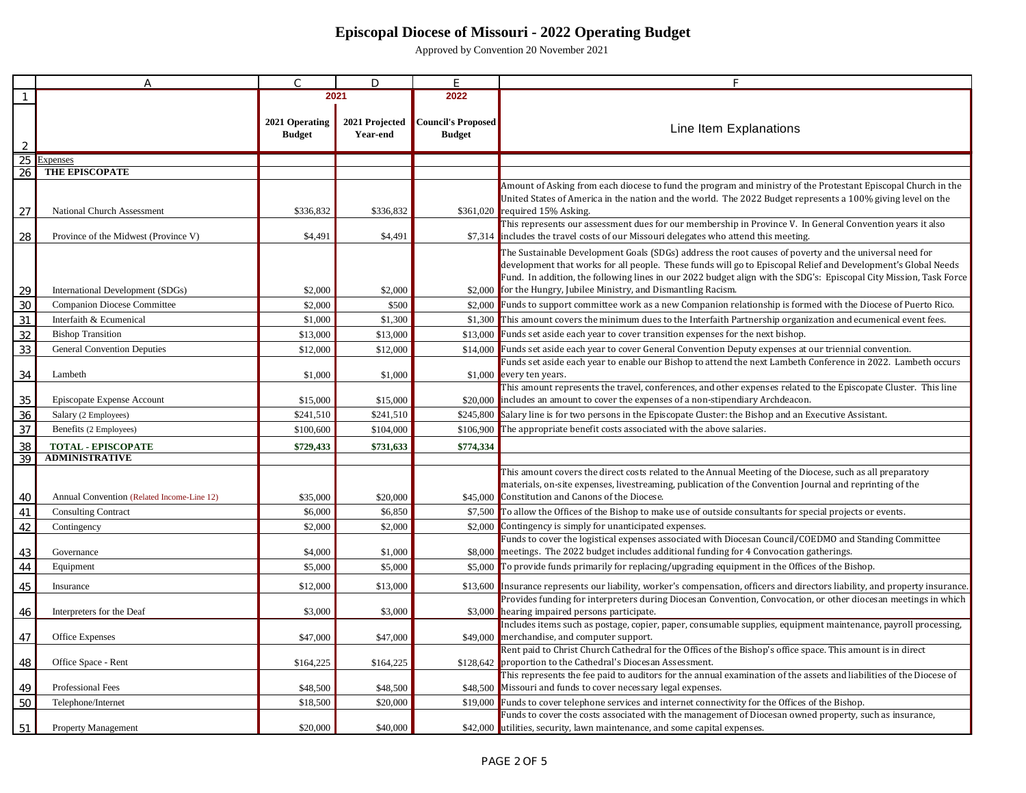|    | A                                          | $\subset$      | $\Box$         | E                         |                                                                                                                                                                                                                                     |
|----|--------------------------------------------|----------------|----------------|---------------------------|-------------------------------------------------------------------------------------------------------------------------------------------------------------------------------------------------------------------------------------|
|    |                                            |                | 2021           | 2022                      |                                                                                                                                                                                                                                     |
|    |                                            |                |                |                           |                                                                                                                                                                                                                                     |
|    |                                            | 2021 Operating | 2021 Projected | <b>Council's Proposed</b> | Line Item Explanations                                                                                                                                                                                                              |
|    |                                            | <b>Budget</b>  | Year-end       | <b>Budget</b>             |                                                                                                                                                                                                                                     |
|    | <i><u>Expenses</u></i>                     |                |                |                           |                                                                                                                                                                                                                                     |
| 26 | THE EPISCOPATE                             |                |                |                           |                                                                                                                                                                                                                                     |
|    |                                            |                |                |                           | Amount of Asking from each diocese to fund the program and ministry of the Protestant Episcopal Church in the                                                                                                                       |
|    |                                            |                |                |                           | United States of America in the nation and the world. The 2022 Budget represents a 100% giving level on the                                                                                                                         |
| 27 | National Church Assessment                 | \$336,832      | \$336,832      |                           | \$361,020 required 15% Asking.                                                                                                                                                                                                      |
|    |                                            |                |                |                           | This represents our assessment dues for our membership in Province V. In General Convention years it also                                                                                                                           |
| 28 | Province of the Midwest (Province V)       | \$4,491        | \$4,491        |                           | \$7,314 includes the travel costs of our Missouri delegates who attend this meeting.                                                                                                                                                |
|    |                                            |                |                |                           | The Sustainable Development Goals (SDGs) address the root causes of poverty and the universal need for                                                                                                                              |
|    |                                            |                |                |                           | development that works for all people. These funds will go to Episcopal Relief and Development's Global Needs<br>Fund. In addition, the following lines in our 2022 budget align with the SDG's: Episcopal City Mission, Task Force |
| 29 | International Development (SDGs)           | \$2,000        | \$2,000        |                           | \$2,000 for the Hungry, Jubilee Ministry, and Dismantling Racism.                                                                                                                                                                   |
| 30 | Companion Diocese Committee                | \$2,000        | \$500          |                           | \$2,000 Funds to support committee work as a new Companion relationship is formed with the Diocese of Puerto Rico.                                                                                                                  |
| 31 | Interfaith & Ecumenical                    | \$1,000        | \$1,300        |                           | \$1,300 This amount covers the minimum dues to the Interfaith Partnership organization and ecumenical event fees.                                                                                                                   |
| 32 | <b>Bishop Transition</b>                   | \$13,000       | \$13,000       | \$13,000                  | Funds set aside each year to cover transition expenses for the next bishop.                                                                                                                                                         |
| 33 | General Convention Deputies                | \$12,000       | \$12,000       | \$14,000                  | Funds set aside each year to cover General Convention Deputy expenses at our triennial convention.                                                                                                                                  |
|    |                                            |                |                |                           | Funds set aside each year to enable our Bishop to attend the next Lambeth Conference in 2022. Lambeth occurs                                                                                                                        |
| 34 | Lambeth                                    | \$1,000        | \$1,000        | \$1,000                   | every ten years.                                                                                                                                                                                                                    |
|    |                                            |                |                |                           | This amount represents the travel, conferences, and other expenses related to the Episcopate Cluster. This line                                                                                                                     |
| 35 | Episcopate Expense Account                 | \$15,000       | \$15,000       |                           | \$20,000 includes an amount to cover the expenses of a non-stipendiary Archdeacon.                                                                                                                                                  |
| 36 | Salary (2 Employees)                       | \$241,510      | \$241,510      | \$245,800                 | Salary line is for two persons in the Episcopate Cluster: the Bishop and an Executive Assistant.                                                                                                                                    |
| 37 | Benefits (2 Employees)                     | \$100,600      | \$104,000      | \$106,900                 | The appropriate benefit costs associated with the above salaries.                                                                                                                                                                   |
| 38 | <b>TOTAL - EPISCOPATE</b>                  | \$729,433      | \$731,633      | \$774,334                 |                                                                                                                                                                                                                                     |
| 39 | <b>ADMINISTRATIVE</b>                      |                |                |                           |                                                                                                                                                                                                                                     |
|    |                                            |                |                |                           | This amount covers the direct costs related to the Annual Meeting of the Diocese, such as all preparatory<br>materials, on-site expenses, livestreaming, publication of the Convention Journal and reprinting of the                |
| 40 | Annual Convention (Related Income-Line 12) | \$35,000       | \$20,000       |                           | \$45,000 Constitution and Canons of the Diocese.                                                                                                                                                                                    |
| 41 | <b>Consulting Contract</b>                 | \$6,000        | \$6,850        | \$7,500                   | To allow the Offices of the Bishop to make use of outside consultants for special projects or events.                                                                                                                               |
| 42 | Contingency                                | \$2,000        | \$2,000        | \$2,000                   | Contingency is simply for unanticipated expenses.                                                                                                                                                                                   |
|    |                                            |                |                |                           | Funds to cover the logistical expenses associated with Diocesan Council/COEDMO and Standing Committee                                                                                                                               |
| 43 | Governance                                 | \$4,000        | \$1,000        |                           | \$8,000 meetings. The 2022 budget includes additional funding for 4 Convocation gatherings.                                                                                                                                         |
| 44 | Equipment                                  | \$5,000        | \$5,000        | \$5,000                   | To provide funds primarily for replacing/upgrading equipment in the Offices of the Bishop.                                                                                                                                          |
| 45 | Insurance                                  | \$12,000       | \$13,000       | \$13,600                  | Insurance represents our liability, worker's compensation, officers and directors liability, and property insurance                                                                                                                 |
|    |                                            |                |                |                           | Provides funding for interpreters during Diocesan Convention, Convocation, or other diocesan meetings in which                                                                                                                      |
| 46 | Interpreters for the Deaf                  | \$3,000        | \$3,000        | \$3,000                   | hearing impaired persons participate.                                                                                                                                                                                               |
|    |                                            |                |                |                           | Includes items such as postage, copier, paper, consumable supplies, equipment maintenance, payroll processing,                                                                                                                      |
| 47 | Office Expenses                            | \$47,000       | \$47,000       | \$49,000                  | merchandise, and computer support.                                                                                                                                                                                                  |
|    |                                            |                |                |                           | Rent paid to Christ Church Cathedral for the Offices of the Bishop's office space. This amount is in direct<br>\$128,642 proportion to the Cathedral's Diocesan Assessment.                                                         |
| 48 | Office Space - Rent                        | \$164,225      | \$164,225      |                           | This represents the fee paid to auditors for the annual examination of the assets and liabilities of the Diocese of                                                                                                                 |
| 49 | Professional Fees                          | \$48,500       | \$48,500       |                           | \$48,500 Missouri and funds to cover necessary legal expenses.                                                                                                                                                                      |
| 50 | Telephone/Internet                         | \$18,500       | \$20,000       | \$19,000                  | Funds to cover telephone services and internet connectivity for the Offices of the Bishop.                                                                                                                                          |
|    |                                            |                |                |                           | Funds to cover the costs associated with the management of Diocesan owned property, such as insurance,                                                                                                                              |
| 51 | <b>Property Management</b>                 | \$20,000       | \$40,000       |                           | \$42,000 utilities, security, lawn maintenance, and some capital expenses.                                                                                                                                                          |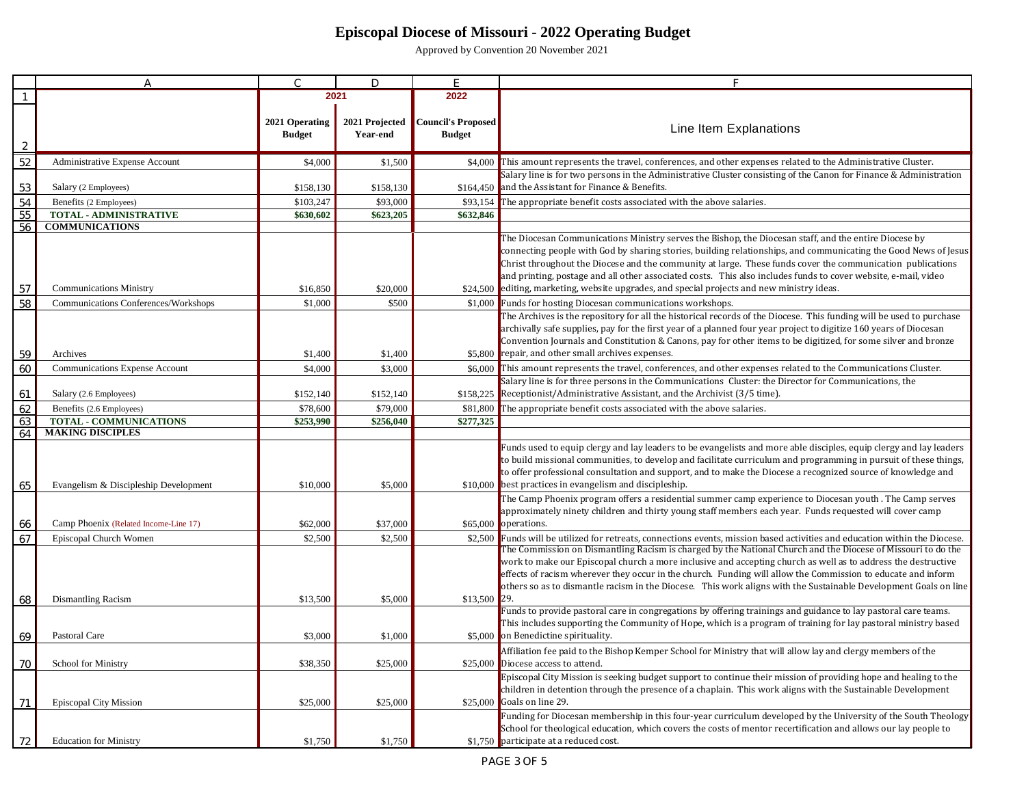|          | А                                                  | $\subset$                       | $\Box$                     | Е                                   |                                                                                                                                                                                                                                                                                                                                                                                                                                                                   |
|----------|----------------------------------------------------|---------------------------------|----------------------------|-------------------------------------|-------------------------------------------------------------------------------------------------------------------------------------------------------------------------------------------------------------------------------------------------------------------------------------------------------------------------------------------------------------------------------------------------------------------------------------------------------------------|
|          |                                                    |                                 | 2021                       | 2022                                |                                                                                                                                                                                                                                                                                                                                                                                                                                                                   |
| 2        |                                                    | 2021 Operating<br><b>Budget</b> | 2021 Projected<br>Year-end | Council's Proposed<br><b>Budget</b> | Line Item Explanations                                                                                                                                                                                                                                                                                                                                                                                                                                            |
| 52       | Administrative Expense Account                     | \$4,000                         | \$1,500                    | \$4,000                             | This amount represents the travel, conferences, and other expenses related to the Administrative Cluster.                                                                                                                                                                                                                                                                                                                                                         |
| 53       | Salary (2 Employees)                               | \$158,130                       | \$158,130                  |                                     | Salary line is for two persons in the Administrative Cluster consisting of the Canon for Finance & Administration<br>\$164,450 and the Assistant for Finance & Benefits.                                                                                                                                                                                                                                                                                          |
| 54       | Benefits (2 Employees)                             | \$103,247                       | \$93,000                   | \$93,154                            | The appropriate benefit costs associated with the above salaries.                                                                                                                                                                                                                                                                                                                                                                                                 |
| 55       | <b>TOTAL - ADMINISTRATIVE</b>                      | \$630,602                       | \$623,205                  | \$632,846                           |                                                                                                                                                                                                                                                                                                                                                                                                                                                                   |
| 56       | <b>COMMUNICATIONS</b>                              |                                 |                            |                                     |                                                                                                                                                                                                                                                                                                                                                                                                                                                                   |
|          |                                                    |                                 |                            |                                     | The Diocesan Communications Ministry serves the Bishop, the Diocesan staff, and the entire Diocese by<br>connecting people with God by sharing stories, building relationships, and communicating the Good News of Jesus<br>Christ throughout the Diocese and the community at large. These funds cover the communication publications<br>and printing, postage and all other associated costs. This also includes funds to cover website, e-mail, video          |
| 57       | <b>Communications Ministry</b>                     | \$16,850                        | \$20,000                   |                                     | \$24,500 editing, marketing, website upgrades, and special projects and new ministry ideas.                                                                                                                                                                                                                                                                                                                                                                       |
| 58       | Communications Conferences/Workshops               | \$1,000                         | \$500                      |                                     | \$1,000 Funds for hosting Diocesan communications workshops.                                                                                                                                                                                                                                                                                                                                                                                                      |
| 59       | Archives                                           | \$1,400                         | \$1,400                    |                                     | The Archives is the repository for all the historical records of the Diocese. This funding will be used to purchase<br>archivally safe supplies, pay for the first year of a planned four year project to digitize 160 years of Diocesan<br>Convention Journals and Constitution & Canons, pay for other items to be digitized, for some silver and bronze<br>\$5,800 repair, and other small archives expenses.                                                  |
| 60       | Communications Expense Account                     | \$4,000                         | \$3,000                    | \$6,000                             | This amount represents the travel, conferences, and other expenses related to the Communications Cluster.                                                                                                                                                                                                                                                                                                                                                         |
|          |                                                    |                                 |                            |                                     | Salary line is for three persons in the Communications Cluster: the Director for Communications, the                                                                                                                                                                                                                                                                                                                                                              |
| 61       | Salary (2.6 Employees)<br>Benefits (2.6 Employees) | \$152,140                       | \$152,140                  | \$158,225                           | Receptionist/Administrative Assistant, and the Archivist (3/5 time).                                                                                                                                                                                                                                                                                                                                                                                              |
| 62<br>63 | <b>TOTAL - COMMUNICATIONS</b>                      | \$78,600<br>\$253,990           | \$79,000<br>\$256,040      | \$81,800<br>\$277,325               | The appropriate benefit costs associated with the above salaries.                                                                                                                                                                                                                                                                                                                                                                                                 |
| 64       | <b>MAKING DISCIPLES</b>                            |                                 |                            |                                     |                                                                                                                                                                                                                                                                                                                                                                                                                                                                   |
| 65       | Evangelism & Discipleship Development              | \$10,000                        | \$5,000                    |                                     | Funds used to equip clergy and lay leaders to be evangelists and more able disciples, equip clergy and lay leaders<br>to build missional communities, to develop and facilitate curriculum and programming in pursuit of these things,<br>to offer professional consultation and support, and to make the Diocese a recognized source of knowledge and<br>\$10,000 best practices in evangelism and discipleship.                                                 |
| 66       | Camp Phoenix (Related Income-Line 17)              | \$62,000                        | \$37,000                   |                                     | The Camp Phoenix program offers a residential summer camp experience to Diocesan youth . The Camp serves<br>approximately ninety children and thirty young staff members each year. Funds requested will cover camp<br>$$65,000$ operations.                                                                                                                                                                                                                      |
| 67       | Episcopal Church Women                             | \$2,500                         | \$2,500                    | \$2,500                             | Funds will be utilized for retreats, connections events, mission based activities and education within the Diocese.                                                                                                                                                                                                                                                                                                                                               |
|          |                                                    |                                 |                            |                                     | The Commission on Dismantling Racism is charged by the National Church and the Diocese of Missouri to do the<br>work to make our Episcopal church a more inclusive and accepting church as well as to address the destructive<br>effects of racism wherever they occur in the church. Funding will allow the Commission to educate and inform<br>others so as to dismantle racism in the Diocese. This work aligns with the Sustainable Development Goals on line |
| 68       | Dismantling Racism                                 | \$13,500                        | \$5,000                    | \$13,500 29.                        |                                                                                                                                                                                                                                                                                                                                                                                                                                                                   |
| 69       | Pastoral Care                                      | \$3,000                         | \$1,000                    |                                     | Funds to provide pastoral care in congregations by offering trainings and guidance to lay pastoral care teams.<br>This includes supporting the Community of Hope, which is a program of training for lay pastoral ministry based<br>\$5,000 on Benedictine spirituality.                                                                                                                                                                                          |
| 70       | School for Ministry                                | \$38,350                        | \$25,000                   |                                     | Affiliation fee paid to the Bishop Kemper School for Ministry that will allow lay and clergy members of the<br>\$25,000 Diocese access to attend.                                                                                                                                                                                                                                                                                                                 |
| 71       | <b>Episcopal City Mission</b>                      | \$25,000                        | \$25,000                   |                                     | Episcopal City Mission is seeking budget support to continue their mission of providing hope and healing to the<br>children in detention through the presence of a chaplain. This work aligns with the Sustainable Development<br>\$25,000 Goals on line 29.                                                                                                                                                                                                      |
|          | <b>Education for Ministry</b>                      | \$1,750                         | \$1,750                    |                                     | Funding for Diocesan membership in this four-year curriculum developed by the University of the South Theology<br>School for theological education, which covers the costs of mentor recertification and allows our lay people to<br>\$1,750 participate at a reduced cost.                                                                                                                                                                                       |
|          |                                                    |                                 |                            |                                     |                                                                                                                                                                                                                                                                                                                                                                                                                                                                   |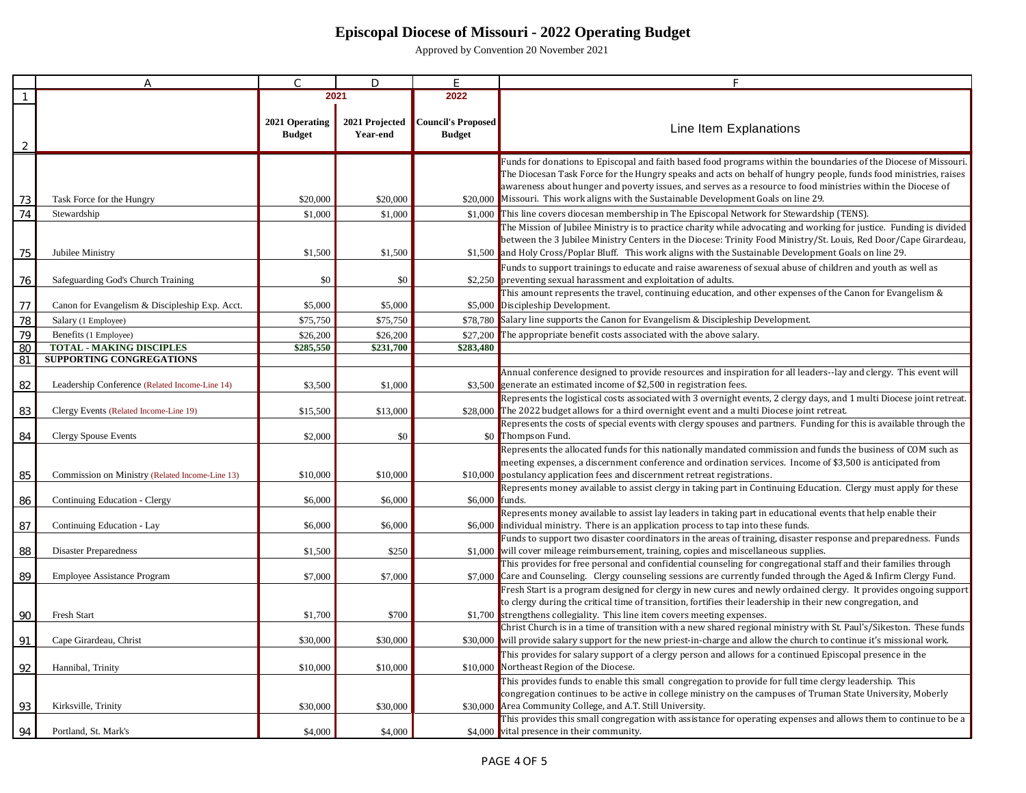|    | $\overline{A}$                                  | $\subset$                       | D                          | E                                          | F                                                                                                                                                                                                                                                                                                                                                                                                                                              |
|----|-------------------------------------------------|---------------------------------|----------------------------|--------------------------------------------|------------------------------------------------------------------------------------------------------------------------------------------------------------------------------------------------------------------------------------------------------------------------------------------------------------------------------------------------------------------------------------------------------------------------------------------------|
|    |                                                 |                                 | 2021                       | 2022                                       |                                                                                                                                                                                                                                                                                                                                                                                                                                                |
|    |                                                 | 2021 Operating<br><b>Budget</b> | 2021 Projected<br>Year-end | <b>Council's Proposed</b><br><b>Budget</b> | Line Item Explanations                                                                                                                                                                                                                                                                                                                                                                                                                         |
|    |                                                 |                                 |                            |                                            |                                                                                                                                                                                                                                                                                                                                                                                                                                                |
| 73 | Task Force for the Hungry                       | \$20,000                        | \$20,000                   |                                            | Funds for donations to Episcopal and faith based food programs within the boundaries of the Diocese of Missouri.<br>The Diocesan Task Force for the Hungry speaks and acts on behalf of hungry people, funds food ministries, raises<br>awareness about hunger and poverty issues, and serves as a resource to food ministries within the Diocese of<br>\$20,000 Missouri. This work aligns with the Sustainable Development Goals on line 29. |
| 74 | Stewardship                                     | \$1,000                         | \$1,000                    |                                            | \$1,000 This line covers diocesan membership in The Episcopal Network for Stewardship (TENS).                                                                                                                                                                                                                                                                                                                                                  |
| 75 | Jubilee Ministry                                | \$1,500                         | \$1,500                    | \$1,500                                    | The Mission of Jubilee Ministry is to practice charity while advocating and working for justice. Funding is divided<br>between the 3 Jubilee Ministry Centers in the Diocese: Trinity Food Ministry/St. Louis, Red Door/Cape Girardeau,<br>and Holy Cross/Poplar Bluff. This work aligns with the Sustainable Development Goals on line 29.                                                                                                    |
| 76 | Safeguarding God's Church Training              | \$0                             | \$0                        | \$2,250                                    | Funds to support trainings to educate and raise awareness of sexual abuse of children and youth as well as<br>preventing sexual harassment and exploitation of adults.                                                                                                                                                                                                                                                                         |
| 77 | Canon for Evangelism & Discipleship Exp. Acct.  | \$5,000                         | \$5,000                    |                                            | This amount represents the travel, continuing education, and other expenses of the Canon for Evangelism &<br>\$5,000 Discipleship Development.                                                                                                                                                                                                                                                                                                 |
| 78 | Salary (1 Employee)                             | \$75,750                        | \$75,750                   | \$78,780                                   | Salary line supports the Canon for Evangelism & Discipleship Development.                                                                                                                                                                                                                                                                                                                                                                      |
| 79 | Benefits (1 Employee)                           | \$26,200                        | \$26,200                   | \$27,200                                   | The appropriate benefit costs associated with the above salary.                                                                                                                                                                                                                                                                                                                                                                                |
| 8C | <b>TOTAL - MAKING DISCIPLES</b>                 | \$285,550                       | \$231,700                  | \$283,480                                  |                                                                                                                                                                                                                                                                                                                                                                                                                                                |
| 81 | <b>SUPPORTING CONGREGATIONS</b>                 |                                 |                            |                                            |                                                                                                                                                                                                                                                                                                                                                                                                                                                |
|    |                                                 | \$3,500                         | \$1,000                    | \$3,500                                    | Annual conference designed to provide resources and inspiration for all leaders--lay and clergy. This event will<br>generate an estimated income of \$2,500 in registration fees.                                                                                                                                                                                                                                                              |
| 82 | Leadership Conference (Related Income-Line 14)  |                                 |                            |                                            | Represents the logistical costs associated with 3 overnight events, 2 clergy days, and 1 multi Diocese joint retreat.                                                                                                                                                                                                                                                                                                                          |
| 83 | Clergy Events (Related Income-Line 19)          | \$15,500                        | \$13,000                   | \$28,000                                   | The 2022 budget allows for a third overnight event and a multi Diocese joint retreat.                                                                                                                                                                                                                                                                                                                                                          |
|    |                                                 |                                 |                            |                                            | Represents the costs of special events with clergy spouses and partners. Funding for this is available through the                                                                                                                                                                                                                                                                                                                             |
| 84 | <b>Clergy Spouse Events</b>                     | \$2,000                         | \$0                        |                                            | \$0 Thompson Fund.                                                                                                                                                                                                                                                                                                                                                                                                                             |
|    |                                                 |                                 |                            |                                            | Represents the allocated funds for this nationally mandated commission and funds the business of COM such as                                                                                                                                                                                                                                                                                                                                   |
|    |                                                 |                                 |                            |                                            | meeting expenses, a discernment conference and ordination services. Income of \$3,500 is anticipated from                                                                                                                                                                                                                                                                                                                                      |
| 85 | Commission on Ministry (Related Income-Line 13) | \$10,000                        | \$10,000                   | \$10,000                                   | postulancy application fees and discernment retreat registrations.                                                                                                                                                                                                                                                                                                                                                                             |
|    |                                                 |                                 |                            |                                            | Represents money available to assist clergy in taking part in Continuing Education. Clergy must apply for these                                                                                                                                                                                                                                                                                                                                |
| 86 | Continuing Education - Clergy                   | \$6,000                         | \$6,000                    | \$6,000                                    | funds.<br>Represents money available to assist lay leaders in taking part in educational events that help enable their                                                                                                                                                                                                                                                                                                                         |
| 87 | Continuing Education - Lay                      | \$6,000                         | \$6,000                    | \$6,000                                    | individual ministry. There is an application process to tap into these funds.                                                                                                                                                                                                                                                                                                                                                                  |
|    |                                                 |                                 |                            |                                            | Funds to support two disaster coordinators in the areas of training, disaster response and preparedness. Funds                                                                                                                                                                                                                                                                                                                                 |
| 88 | <b>Disaster Preparedness</b>                    | \$1,500                         | \$250                      | \$1,000                                    | will cover mileage reimbursement, training, copies and miscellaneous supplies.                                                                                                                                                                                                                                                                                                                                                                 |
|    |                                                 |                                 |                            |                                            | This provides for free personal and confidential counseling for congregational staff and their families through                                                                                                                                                                                                                                                                                                                                |
| 89 | <b>Employee Assistance Program</b>              | \$7,000                         | \$7,000                    | \$7,000                                    | Care and Counseling. Clergy counseling sessions are currently funded through the Aged & Infirm Clergy Fund.                                                                                                                                                                                                                                                                                                                                    |
|    |                                                 |                                 |                            |                                            | Fresh Start is a program designed for clergy in new cures and newly ordained clergy. It provides ongoing support                                                                                                                                                                                                                                                                                                                               |
| 90 | Fresh Start                                     | \$1,700                         | \$700                      |                                            | to clergy during the critical time of transition, fortifies their leadership in their new congregation, and<br>\$1,700 strengthens collegiality. This line item covers meeting expenses.                                                                                                                                                                                                                                                       |
|    |                                                 |                                 |                            |                                            | Christ Church is in a time of transition with a new shared regional ministry with St. Paul's/Sikeston. These funds                                                                                                                                                                                                                                                                                                                             |
| 91 | Cape Girardeau, Christ                          | \$30,000                        | \$30,000                   | \$30,000                                   | will provide salary support for the new priest-in-charge and allow the church to continue it's missional work.                                                                                                                                                                                                                                                                                                                                 |
|    |                                                 |                                 |                            |                                            | This provides for salary support of a clergy person and allows for a continued Episcopal presence in the                                                                                                                                                                                                                                                                                                                                       |
| 92 | Hannibal, Trinity                               | \$10,000                        | \$10,000                   | \$10,000                                   | Northeast Region of the Diocese.                                                                                                                                                                                                                                                                                                                                                                                                               |
|    |                                                 |                                 |                            |                                            | This provides funds to enable this small congregation to provide for full time clergy leadership. This                                                                                                                                                                                                                                                                                                                                         |
|    |                                                 |                                 |                            |                                            | congregation continues to be active in college ministry on the campuses of Truman State University, Moberly                                                                                                                                                                                                                                                                                                                                    |
| 93 | Kirksville, Trinity                             | \$30,000                        | \$30,000                   | \$30,000                                   | Area Community College, and A.T. Still University.                                                                                                                                                                                                                                                                                                                                                                                             |
|    |                                                 |                                 |                            |                                            | This provides this small congregation with assistance for operating expenses and allows them to continue to be a                                                                                                                                                                                                                                                                                                                               |
| 94 | Portland, St. Mark's                            | \$4,000                         | \$4,000                    |                                            | \$4,000 vital presence in their community.                                                                                                                                                                                                                                                                                                                                                                                                     |